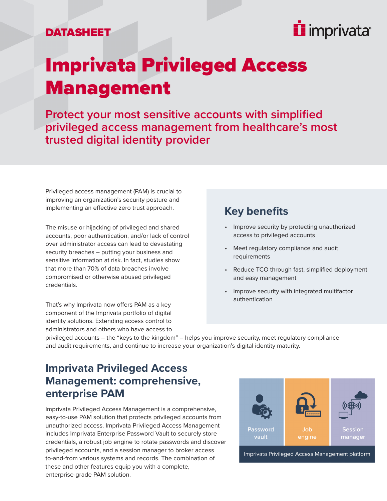

## Imprivata Privileged Access Management

**Protect your most sensitive accounts with simplified privileged access management from healthcare's most trusted digital identity provider** 

Privileged access management (PAM) is crucial to improving an organization's security posture and implementing an effective zero trust approach.

The misuse or hijacking of privileged and shared accounts, poor authentication, and/or lack of control over administrator access can lead to devastating security breaches – putting your business and sensitive information at risk. In fact, studies show that more than 70% of data breaches involve compromised or otherwise abused privileged credentials.

That's why Imprivata now offers PAM as a key component of the Imprivata portfolio of digital identity solutions. Extending access control to administrators and others who have access to

#### **Key benefits**

- Improve security by protecting unauthorized access to privileged accounts
- Meet regulatory compliance and audit requirements
- Reduce TCO through fast, simplified deployment and easy management
- Improve security with integrated multifactor authentication

privileged accounts – the "keys to the kingdom" – helps you improve security, meet regulatory compliance and audit requirements, and continue to increase your organization's digital identity maturity.

#### **Imprivata Privileged Access Management: comprehensive, enterprise PAM**

Imprivata Privileged Access Management is a comprehensive, easy-to-use PAM solution that protects privileged accounts from unauthorized access. Imprivata Privileged Access Management includes Imprivata Enterprise Password Vault to securely store credentials, a robust job engine to rotate passwords and discover privileged accounts, and a session manager to broker access to-and-from various systems and records. The combination of these and other features equip you with a complete, enterprise-grade PAM solution.



Imprivata Privileged Access Management platform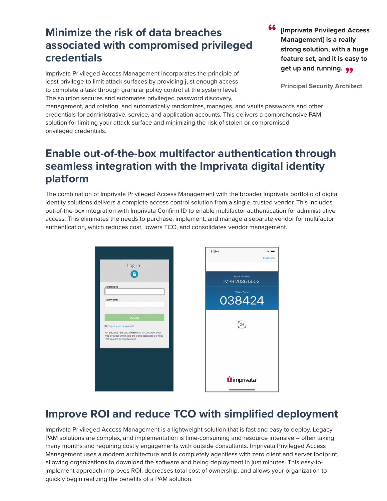#### **Minimize the risk of data breaches associated with compromised privileged credentials**

Imprivata Privileged Access Management incorporates the principle of least privilege to limit attack surfaces by providing just enough access to complete a task through granular policy control at the system level. The solution secures and automates privileged password discovery,

**[Imprivata Privileged Access Management] is a really strong solution, with a huge feature set, and it is easy to**  get up and running. <sub>99</sub> "

**Principal Security Architect**

management, and rotation, and automatically randomizes, manages, and vaults passwords and other credentials for administrative, service, and application accounts. This delivers a comprehensive PAM solution for limiting your attack surface and minimizing the risk of stolen or compromised privileged credentials.

#### **Enable out-of-the-box multifactor authentication through seamless integration with the Imprivata digital identity platform**

The combination of Imprivata Privileged Access Management with the broader Imprivata portfolio of digital identity solutions delivers a complete access control solution from a single, trusted vendor. This includes out-of-the-box integration with Imprivata Confirm ID to enable multifactor authentication for administrative access. This eliminates the needs to purchase, implement, and manage a separate vendor for multifactor authentication, which reduces cost, lowers TCO, and consolidates vendor management.

|                                | Log in                                                                                                 |
|--------------------------------|--------------------------------------------------------------------------------------------------------|
| <b>Username:</b>               |                                                                                                        |
| Password:                      |                                                                                                        |
|                                | <b>LOGIN</b>                                                                                           |
| <b>O</b> Forgot your password? |                                                                                                        |
| that require authentication!   | For security reasons, please log out and exit your<br>web browser when you are done accessing services |
|                                |                                                                                                        |
|                                |                                                                                                        |
|                                |                                                                                                        |



### **Improve ROI and reduce TCO with simplified deployment**

Imprivata Privileged Access Management is a lightweight solution that is fast and easy to deploy. Legacy PAM solutions are complex, and implementation is time-consuming and resource intensive – often taking many months and requiring costly engagements with outside consultants. Imprivata Privileged Access Management uses a modern architecture and is completely agentless with zero client and server footprint, allowing organizations to download the software and being deployment in just minutes. This easy-toimplement approach improves ROI, decreases total cost of ownership, and allows your organization to quickly begin realizing the benefits of a PAM solution.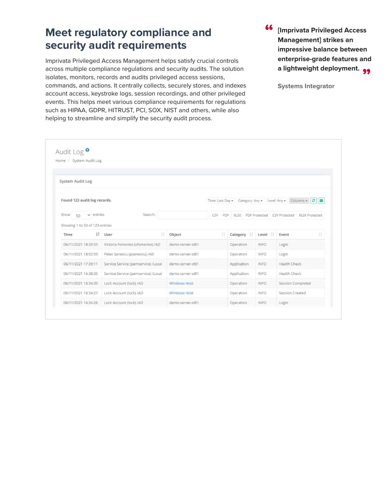#### **Meet regulatory compliance and security audit requirements**

Imprivata Privileged Access Management helps satisfy crucial controls across multiple compliance regulations and security audits. The solution isolates, monitors, records and audits privileged access sessions, commands, and actions. It centrally collects, securely stores, and indexes account access, keystroke logs, session recordings, and other privileged events. This helps meet various compliance requirements for regulations such as HIPAA, GDPR, HITRUST, PCI, SOX, NIST and others, while also helping to streamline and simplify the security audit process.

**[Imprivata Privileged Access Management] strikes an impressive balance between enterprise-grade features and**  a lightweight deployment. <sub>99</sub><br>. "

**Systems Integrator**

|                                | Home / System Audit Log             |                     |                                                                                    |    |                        |             |                                               |
|--------------------------------|-------------------------------------|---------------------|------------------------------------------------------------------------------------|----|------------------------|-------------|-----------------------------------------------|
| <b>System Audit Log</b>        |                                     |                     |                                                                                    |    |                        |             |                                               |
| Found 123 audit log records.   |                                     |                     | Time: Last Day v Category: Any v Level: Any v<br>Columns $\bullet$ $\bullet$<br>⊪⇔ |    |                        |             |                                               |
| $\vee$ entries<br>Show<br>50   | Search:                             |                     | CSV                                                                                |    | PDF XLSX PDF Protected |             | <b>CSV Protected</b><br><b>XLSX Protected</b> |
| Showing 1 to 50 of 123 entries |                                     |                     |                                                                                    |    |                        |             |                                               |
| IF<br>Time                     | 1Ť<br>User                          | Object              |                                                                                    | Jî | Category IT            | Level IT    | 1Ť<br>Event                                   |
| 06/11/2021 18:20:55            | Victoria Fomenko (vfomenko) /AD     | demo-server-xt01    |                                                                                    |    | Operation              | <b>INFO</b> | Login                                         |
| 06/11/2021 18:02:59            | Peter Senescu (psenescu) /AD        | demo-server-xt01    |                                                                                    |    | Operation              | <b>INFO</b> | Login                                         |
| 06/11/2021 17:39:11            | Service Service (pamservice) /Local | demo-server-xt01    |                                                                                    |    | Application            | <b>INFO</b> | Health Check                                  |
| 06/11/2021 16:38:35            | Service Service (pamservice) /Local | demo-server-xt01    |                                                                                    |    | Application            | <b>INFO</b> | Health Check                                  |
| 06/11/2021 16:34:39            | Lock Account (lock) /AD             | <b>Windows Host</b> |                                                                                    |    | Operation              | <b>INFO</b> | Session Completed                             |
| 06/11/2021 16:34:27            | Lock Account (lock) /AD             | <b>Windows Host</b> |                                                                                    |    | Operation              | <b>INFO</b> | Session Created                               |
|                                |                                     |                     |                                                                                    |    |                        |             |                                               |